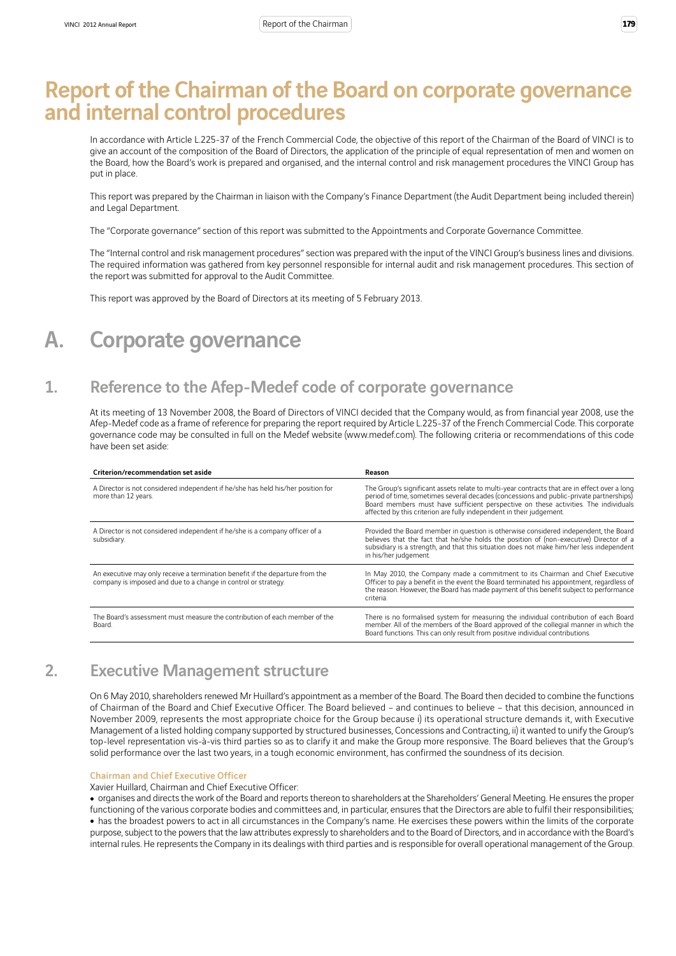# Report of the Chairman of the Board on corporate governance and internal control procedures

In accordance with Article L.225-37 of the French Commercial Code, the objective of this report of the Chairman of the Board of VINCI is to give an account of the composition of the Board of Directors, the application of the principle of equal representation of men and women on the Board, how the Board's work is prepared and organised, and the internal control and risk management procedures the VINCI Group has put in place.

This report was prepared by the Chairman in liaison with the Company's Finance Department (the Audit Department being included therein) and Legal Department.

The "Corporate governance" section of this report was submitted to the Appointments and Corporate Governance Committee.

The "Internal control and risk management procedures" section was prepared with the input of the VINCI Group's business lines and divisions. The required information was gathered from key personnel responsible for internal audit and risk management procedures. This section of the report was submitted for approval to the Audit Committee.

This report was approved by the Board of Directors at its meeting of 5 February 2013.

# A. Corporate governance

## 1. Reference to the Afep-Medef code of corporate governance

At its meeting of 13 November 2008, the Board of Directors of VINCI decided that the Company would, as from financial year 2008, use the Afep-Medef code as a frame of reference for preparing the report required by Article L.225-37 of the French Commercial Code. This corporate governance code may be consulted in full on the Medef website (www.medef.com). The following criteria or recommendations of this code have been set aside:

| Criterion/recommendation set aside                                                                                                              | Reason                                                                                                                                                                                                                                                                                                                                                  |
|-------------------------------------------------------------------------------------------------------------------------------------------------|---------------------------------------------------------------------------------------------------------------------------------------------------------------------------------------------------------------------------------------------------------------------------------------------------------------------------------------------------------|
| A Director is not considered independent if he/she has held his/her position for<br>more than 12 years.                                         | The Group's significant assets relate to multi-year contracts that are in effect over a long<br>period of time, sometimes several decades (concessions and public-private partnerships).<br>Board members must have sufficient perspective on these activities. The individuals<br>affected by this criterion are fully independent in their judgement. |
| A Director is not considered independent if he/she is a company officer of a<br>subsidiary.                                                     | Provided the Board member in question is otherwise considered independent, the Board<br>believes that the fact that he/she holds the position of (non-executive) Director of a<br>subsidiary is a strength, and that this situation does not make him/her less independent<br>in his/her judgement.                                                     |
| An executive may only receive a termination benefit if the departure from the<br>company is imposed and due to a change in control or strategy. | In May 2010, the Company made a commitment to its Chairman and Chief Executive<br>Officer to pay a benefit in the event the Board terminated his appointment, regardless of<br>the reason. However, the Board has made payment of this benefit subject to performance<br>criteria.                                                                      |
| The Board's assessment must measure the contribution of each member of the<br>Board.                                                            | There is no formalised system for measuring the individual contribution of each Board<br>member. All of the members of the Board approved of the collegial manner in which the<br>Board functions. This can only result from positive individual contributions.                                                                                         |

## 2. Executive Management structure

On 6 May 2010, shareholders renewed Mr Huillard's appointment as a member of the Board. The Board then decided to combine the functions of Chairman of the Board and Chief Executive Officer. The Board believed – and continues to believe – that this decision, announced in November 2009, represents the most appropriate choice for the Group because i) its operational structure demands it, with Executive Management of a listed holding company supported by structured businesses, Concessions and Contracting, ii) it wanted to unify the Group's top-level representation vis-à-vis third parties so as to clarify it and make the Group more responsive. The Board believes that the Group's solid performance over the last two years, in a tough economic environment, has confirmed the soundness of its decision.

#### Chairman and Chief Executive Officer

Xavier Huillard, Chairman and Chief Executive Officer:

<sup>ˇ</sup> organises and directs the work of the Board and reports thereon to shareholders at the Shareholders' General Meeting. He ensures the proper functioning of the various corporate bodies and committees and, in particular, ensures that the Directors are able to fulfil their responsibilities; • has the broadest powers to act in all circumstances in the Company's name. He exercises these powers within the limits of the corporate purpose, subject to the powers that the law attributes expressly to shareholders and to the Board of Directors, and in accordance with the Board's internal rules. He represents the Company in its dealings with third parties and is responsible for overall operational management of the Group.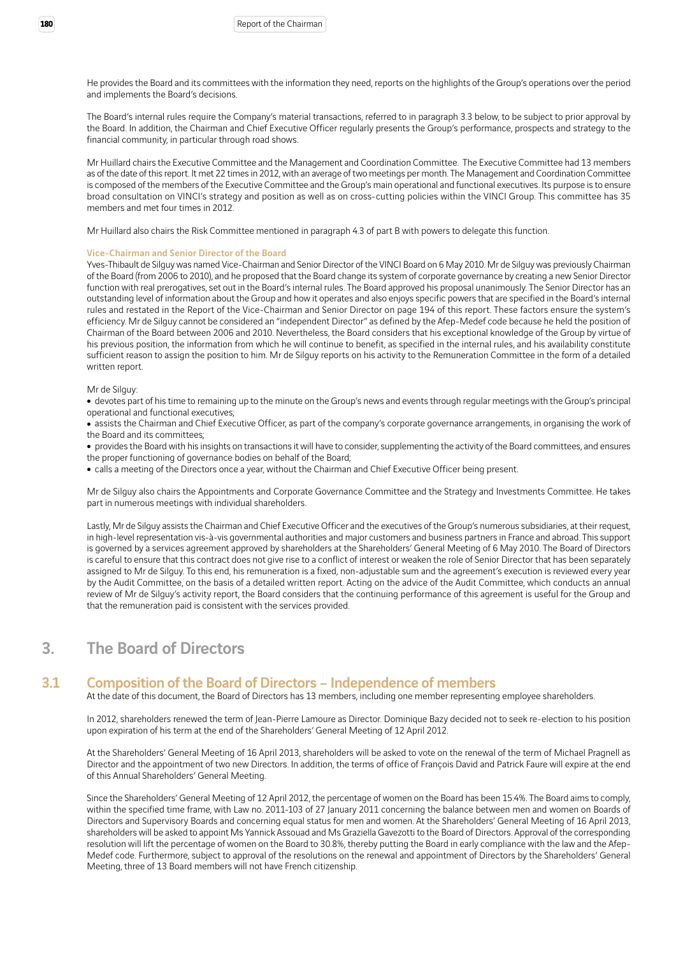He provides the Board and its committees with the information they need, reports on the highlights of the Group's operations over the period and implements the Board's decisions.

The Board's internal rules require the Company's material transactions, referred to in paragraph 3.3 below, to be subject to prior approval by the Board. In addition, the Chairman and Chief Executive Officer regularly presents the Group's performance, prospects and strategy to the financial community, in particular through road shows.

Mr Huillard chairs the Executive Committee and the Management and Coordination Committee. The Executive Committee had 13 members as of the date of this report. It met 22 times in 2012, with an average of two meetings per month. The Management and Coordination Committee is composed of the members of the Executive Committee and the Group's main operational and functional executives. Its purpose is to ensure broad consultation on VINCI's strategy and position as well as on cross-cutting policies within the VINCI Group. This committee has 35 members and met four times in 2012.

Mr Huillard also chairs the Risk Committee mentioned in paragraph 4.3 of part B with powers to delegate this function.

#### Vice-Chairman and Senior Director of the Board

Yves-Thibault de Silguy was named Vice-Chairman and Senior Director of the VINCI Board on 6 May 2010. Mr de Silguy was previously Chairman of the Board (from 2006 to 2010), and he proposed that the Board change its system of corporate governance by creating a new Senior Director function with real prerogatives, set out in the Board's internal rules. The Board approved his proposal unanimously. The Senior Director has an outstanding level of information about the Group and how it operates and also enjoys specific powers that are specified in the Board's internal rules and restated in the Report of the Vice-Chairman and Senior Director on page 194 of this report. These factors ensure the system's efficiency. Mr de Silguy cannot be considered an "independent Director" as defined by the Afep-Medef code because he held the position of Chairman of the Board between 2006 and 2010. Nevertheless, the Board considers that his exceptional knowledge of the Group by virtue of his previous position, the information from which he will continue to benefit, as specified in the internal rules, and his availability constitute sufficient reason to assign the position to him. Mr de Silguy reports on his activity to the Remuneration Committee in the form of a detailed written report.

#### Mr de Silguy:

• devotes part of his time to remaining up to the minute on the Group's news and events through regular meetings with the Group's principal operational and functional executives;

• assists the Chairman and Chief Executive Officer, as part of the company's corporate governance arrangements, in organising the work of the Board and its committees;

• provides the Board with his insights on transactions it will have to consider, supplementing the activity of the Board committees, and ensures the proper functioning of governance bodies on behalf of the Board;

• calls a meeting of the Directors once a year, without the Chairman and Chief Executive Officer being present.

Mr de Silguy also chairs the Appointments and Corporate Governance Committee and the Strategy and Investments Committee. He takes part in numerous meetings with individual shareholders.

Lastly, Mr de Silguy assists the Chairman and Chief Executive Officer and the executives of the Group's numerous subsidiaries, at their request, in high-level representation vis-à-vis governmental authorities and major customers and business partners in France and abroad. This support is governed by a services agreement approved by shareholders at the Shareholders' General Meeting of 6 May 2010. The Board of Directors is careful to ensure that this contract does not give rise to a conflict of interest or weaken the role of Senior Director that has been separately assigned to Mr de Silguy. To this end, his remuneration is a fixed, non-adjustable sum and the agreement's execution is reviewed every year by the Audit Committee, on the basis of a detailed written report. Acting on the advice of the Audit Committee, which conducts an annual review of Mr de Silguy's activity report, the Board considers that the continuing performance of this agreement is useful for the Group and that the remuneration paid is consistent with the services provided.

## 3. The Board of Directors

### 3.1 Composition of the Board of Directors – Independence of members

At the date of this document, the Board of Directors has 13 members, including one member representing employee shareholders.

In 2012, shareholders renewed the term of Jean-Pierre Lamoure as Director. Dominique Bazy decided not to seek re-election to his position upon expiration of his term at the end of the Shareholders' General Meeting of 12 April 2012.

At the Shareholders' General Meeting of 16 April 2013, shareholders will be asked to vote on the renewal of the term of Michael Pragnell as Director and the appointment of two new Directors. In addition, the terms of office of François David and Patrick Faure will expire at the end of this Annual Shareholders' General Meeting.

Since the Shareholders' General Meeting of 12 April 2012, the percentage of women on the Board has been 15.4%. The Board aims to comply, within the specified time frame, with Law no. 2011-103 of 27 January 2011 concerning the balance between men and women on Boards of Directors and Supervisory Boards and concerning equal status for men and women. At the Shareholders' General Meeting of 16 April 2013, shareholders will be asked to appoint Ms Yannick Assouad and Ms Graziella Gavezotti to the Board of Directors. Approval of the corresponding resolution will lift the percentage of women on the Board to 30.8%, thereby putting the Board in early compliance with the law and the Afep-Medef code. Furthermore, subject to approval of the resolutions on the renewal and appointment of Directors by the Shareholders' General Meeting, three of 13 Board members will not have French citizenship.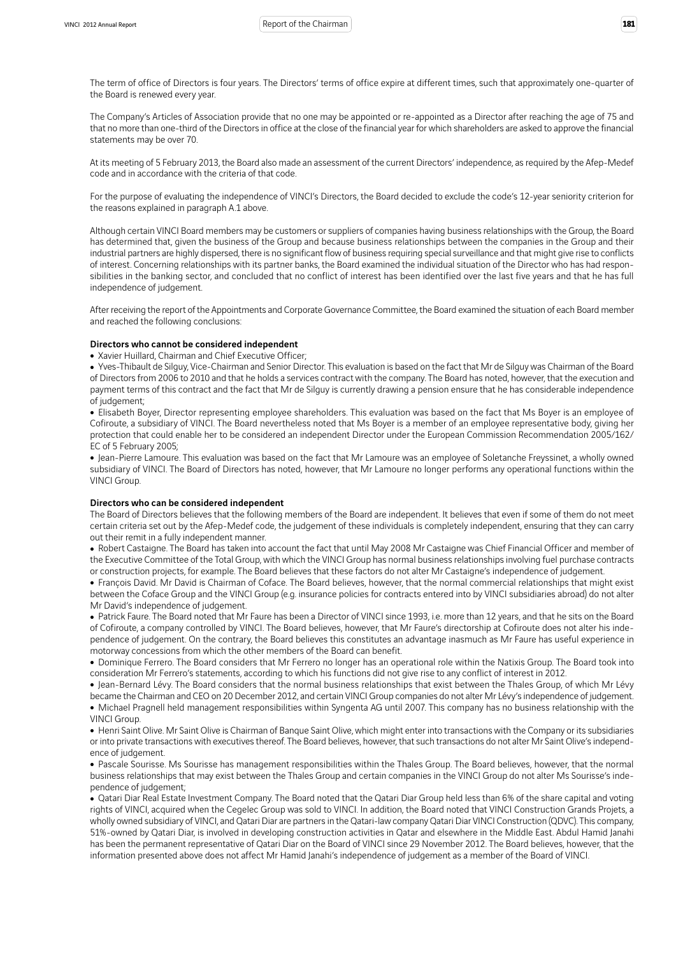The term of office of Directors is four years. The Directors' terms of office expire at different times, such that approximately one-quarter of the Board is renewed every year.

The Company's Articles of Association provide that no one may be appointed or re-appointed as a Director after reaching the age of 75 and that no more than one-third of the Directors in office at the close of the financial year for which shareholders are asked to approve the financial statements may be over 70.

At its meeting of 5 February 2013, the Board also made an assessment of the current Directors' independence, as required by the Afep-Medef code and in accordance with the criteria of that code.

For the purpose of evaluating the independence of VINCI's Directors, the Board decided to exclude the code's 12-year seniority criterion for the reasons explained in paragraph A.1 above.

Although certain VINCI Board members may be customers or suppliers of companies having business relationships with the Group, the Board has determined that, given the business of the Group and because business relationships between the companies in the Group and their industrial partners are highly dispersed, there is no significant flow of business requiring special surveillance and that might give rise to conflicts of interest. Concerning relationships with its partner banks, the Board examined the individual situation of the Director who has had responsibilities in the banking sector, and concluded that no conflict of interest has been identified over the last five years and that he has full independence of judgement.

After receiving the report of the Appointments and Corporate Governance Committee, the Board examined the situation of each Board member and reached the following conclusions:

#### Directors who cannot be considered independent

• Xavier Huillard, Chairman and Chief Executive Officer;

• Yves-Thibault de Silguy, Vice-Chairman and Senior Director. This evaluation is based on the fact that Mr de Silguy was Chairman of the Board of Directors from 2006 to 2010 and that he holds a services contract with the company. The Board has noted, however, that the execution and payment terms of this contract and the fact that Mr de Silguy is currently drawing a pension ensure that he has considerable independence of judgement;

• Elisabeth Boyer, Director representing employee shareholders. This evaluation was based on the fact that Ms Boyer is an employee of Cofiroute, a subsidiary of VINCI. The Board nevertheless noted that Ms Boyer is a member of an employee representative body, giving her protection that could enable her to be considered an independent Director under the European Commission Recommendation 2005/162/ EC of 5 February 2005;

• Jean-Pierre Lamoure. This evaluation was based on the fact that Mr Lamoure was an employee of Soletanche Freyssinet, a wholly owned subsidiary of VINCI. The Board of Directors has noted, however, that Mr Lamoure no longer performs any operational functions within the VINCI Group.

#### Directors who can be considered independent

The Board of Directors believes that the following members of the Board are independent. It believes that even if some of them do not meet certain criteria set out by the Afep-Medef code, the judgement of these individuals is completely independent, ensuring that they can carry out their remit in a fully independent manner.

• Robert Castaigne. The Board has taken into account the fact that until May 2008 Mr Castaigne was Chief Financial Officer and member of the Executive Committee of the Total Group, with which the VINCI Group has normal business relationships involving fuel purchase contracts or construction projects, for example. The Board believes that these factors do not alter Mr Castaigne's independence of judgement.

• François David. Mr David is Chairman of Coface. The Board believes, however, that the normal commercial relationships that might exist between the Coface Group and the VINCI Group (e.g. insurance policies for contracts entered into by VINCI subsidiaries abroad) do not alter Mr David's independence of judgement.

• Patrick Faure. The Board noted that Mr Faure has been a Director of VINCI since 1993, i.e. more than 12 years, and that he sits on the Board of Cofiroute, a company controlled by VINCI. The Board believes, however, that Mr Faure's directorship at Cofiroute does not alter his independence of judgement. On the contrary, the Board believes this constitutes an advantage inasmuch as Mr Faure has useful experience in motorway concessions from which the other members of the Board can benefit.

• Dominique Ferrero. The Board considers that Mr Ferrero no longer has an operational role within the Natixis Group. The Board took into consideration Mr Ferrero's statements, according to which his functions did not give rise to any conflict of interest in 2012.

• Jean-Bernard Lévy. The Board considers that the normal business relationships that exist between the Thales Group, of which Mr Lévy became the Chairman and CEO on 20 December 2012, and certain VINCI Group companies do not alter Mr Lévy's independence of judgement. • Michael Pragnell held management responsibilities within Syngenta AG until 2007. This company has no business relationship with the VINCI Group.

• Henri Saint Olive. Mr Saint Olive is Chairman of Banque Saint Olive, which might enter into transactions with the Company or its subsidiaries or into private transactions with executives thereof. The Board believes, however, that such transactions do not alter Mr Saint Olive's independence of judgement.

• Pascale Sourisse. Ms Sourisse has management responsibilities within the Thales Group. The Board believes, however, that the normal business relationships that may exist between the Thales Group and certain companies in the VINCI Group do not alter Ms Sourisse's independence of judgement;

• Qatari Diar Real Estate Investment Company. The Board noted that the Qatari Diar Group held less than 6% of the share capital and voting rights of VINCI, acquired when the Cegelec Group was sold to VINCI. In addition, the Board noted that VINCI Construction Grands Projets, a wholly owned subsidiary of VINCI, and Qatari Diar are partners in the Qatari-law company Qatari Diar VINCI Construction (QDVC). This company, 51%-owned by Qatari Diar, is involved in developing construction activities in Qatar and elsewhere in the Middle East. Abdul Hamid Janahi has been the permanent representative of Qatari Diar on the Board of VINCI since 29 November 2012. The Board believes, however, that the information presented above does not affect Mr Hamid Janahi's independence of judgement as a member of the Board of VINCI.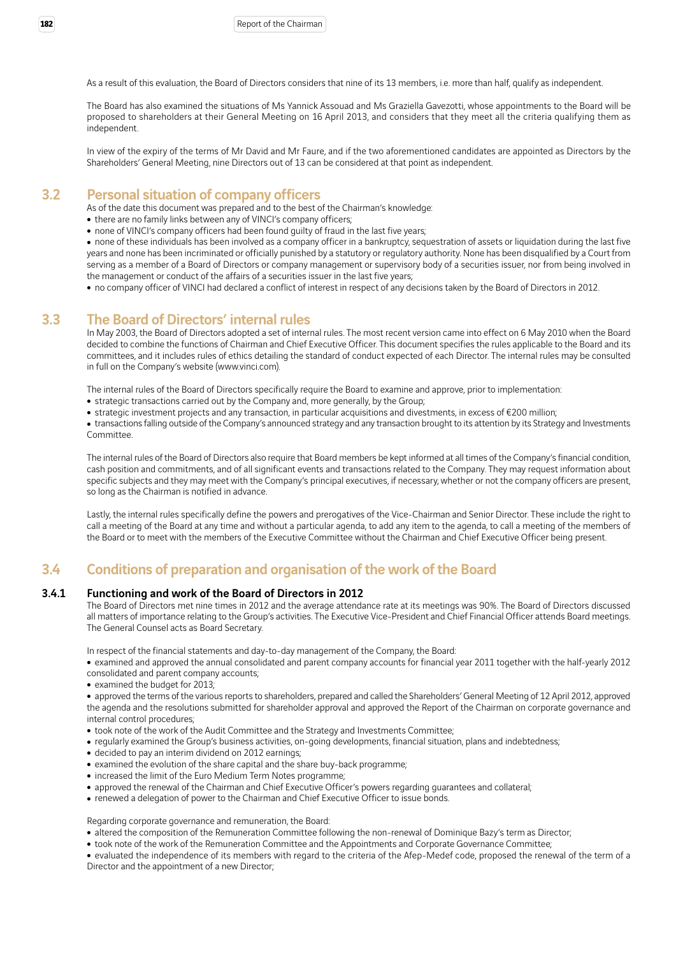As a result of this evaluation, the Board of Directors considers that nine of its 13 members, i.e. more than half, qualify as independent.

The Board has also examined the situations of Ms Yannick Assouad and Ms Graziella Gavezotti, whose appointments to the Board will be proposed to shareholders at their General Meeting on 16 April 2013, and considers that they meet all the criteria qualifying them as independent.

In view of the expiry of the terms of Mr David and Mr Faure, and if the two aforementioned candidates are appointed as Directors by the Shareholders' General Meeting, nine Directors out of 13 can be considered at that point as independent.

## 3.2 Personal situation of company officers

As of the date this document was prepared and to the best of the Chairman's knowledge:

- there are no family links between any of VINCI's company officers;
- none of VINCI's company officers had been found guilty of fraud in the last five years;

• none of these individuals has been involved as a company officer in a bankruptcy, sequestration of assets or liquidation during the last five years and none has been incriminated or officially punished by a statutory or regulatory authority. None has been disqualified by a Court from serving as a member of a Board of Directors or company management or supervisory body of a securities issuer, nor from being involved in the management or conduct of the affairs of a securities issuer in the last five years;

• no company officer of VINCI had declared a conflict of interest in respect of any decisions taken by the Board of Directors in 2012.

### 3.3 The Board of Directors' internal rules

In May 2003, the Board of Directors adopted a set of internal rules. The most recent version came into effect on 6 May 2010 when the Board decided to combine the functions of Chairman and Chief Executive Officer. This document specifies the rules applicable to the Board and its committees, and it includes rules of ethics detailing the standard of conduct expected of each Director. The internal rules may be consulted in full on the Company's website (www.vinci.com).

The internal rules of the Board of Directors specifically require the Board to examine and approve, prior to implementation:

- strategic transactions carried out by the Company and, more generally, by the Group;
- strategic investment projects and any transaction, in particular acquisitions and divestments, in excess of €200 million;

• transactions falling outside of the Company's announced strategy and any transaction brought to its attention by its Strategy and Investments Committee.

The internal rules of the Board of Directors also require that Board members be kept informed at all times of the Company's financial condition, cash position and commitments, and of all significant events and transactions related to the Company. They may request information about specific subjects and they may meet with the Company's principal executives, if necessary, whether or not the company officers are present, so long as the Chairman is notified in advance.

Lastly, the internal rules specifically define the powers and prerogatives of the Vice-Chairman and Senior Director. These include the right to call a meeting of the Board at any time and without a particular agenda, to add any item to the agenda, to call a meeting of the members of the Board or to meet with the members of the Executive Committee without the Chairman and Chief Executive Officer being present.

## 3.4 Conditions of preparation and organisation of the work of the Board

#### 3.4.1 Functioning and work of the Board of Directors in 2012

The Board of Directors met nine times in 2012 and the average attendance rate at its meetings was 90%. The Board of Directors discussed all matters of importance relating to the Group's activities. The Executive Vice-President and Chief Financial Officer attends Board meetings. The General Counsel acts as Board Secretary.

In respect of the financial statements and day-to-day management of the Company, the Board:

• examined and approved the annual consolidated and parent company accounts for financial year 2011 together with the half-yearly 2012 consolidated and parent company accounts;

• examined the budget for 2013;

• approved the terms of the various reports to shareholders, prepared and called the Shareholders' General Meeting of 12 April 2012, approved the agenda and the resolutions submitted for shareholder approval and approved the Report of the Chairman on corporate governance and internal control procedures;

- took note of the work of the Audit Committee and the Strategy and Investments Committee;
- regularly examined the Group's business activities, on-going developments, financial situation, plans and indebtedness;
- decided to pay an interim dividend on 2012 earnings:
- examined the evolution of the share capital and the share buy-back programme;
- increased the limit of the Euro Medium Term Notes programme;
- approved the renewal of the Chairman and Chief Executive Officer's powers regarding guarantees and collateral;
- renewed a delegation of power to the Chairman and Chief Executive Officer to issue bonds.

Regarding corporate governance and remuneration, the Board:

- altered the composition of the Remuneration Committee following the non-renewal of Dominique Bazy's term as Director;
- took note of the work of the Remuneration Committee and the Appointments and Corporate Governance Committee;

• evaluated the independence of its members with regard to the criteria of the Afep-Medef code, proposed the renewal of the term of a Director and the appointment of a new Director;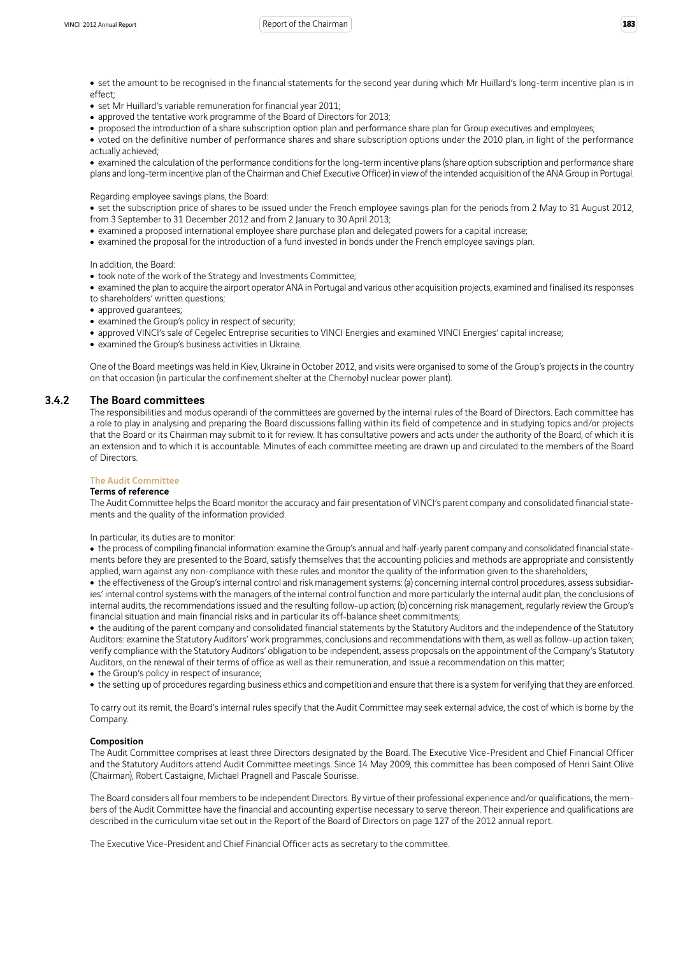#### VINCI 2012 Annual Report **183 183 183 183 183 183 183 183 183 183 183 183 183 183 183 183 183 183 181 181 181 181 181 181 181 181 181 181 181 181 181 181 181**

- set the amount to be recognised in the financial statements for the second year during which Mr Huillard's long-term incentive plan is in effect;
- set Mr Huillard's variable remuneration for financial year 2011;
- approved the tentative work programme of the Board of Directors for 2013;
- proposed the introduction of a share subscription option plan and performance share plan for Group executives and employees;
- voted on the definitive number of performance shares and share subscription options under the 2010 plan, in light of the performance actually achieved<sup>;</sup>

• examined the calculation of the performance conditions for the long-term incentive plans (share option subscription and performance share plans and long-term incentive plan of the Chairman and Chief Executive Officer) in view of the intended acquisition of the ANA Group in Portugal.

Regarding employee savings plans, the Board:

• set the subscription price of shares to be issued under the French employee savings plan for the periods from 2 May to 31 August 2012, from 3 September to 31 December 2012 and from 2 January to 30 April 2013;

- examined a proposed international employee share purchase plan and delegated powers for a capital increase;
- examined the proposal for the introduction of a fund invested in bonds under the French employee savings plan.

In addition, the Board:

- took note of the work of the Strategy and Investments Committee;
- examined the plan to acquire the airport operator ANA in Portugal and various other acquisition projects, examined and finalised its responses to shareholders' written questions;
- approved quarantees;
- examined the Group's policy in respect of security;
- approved VINCI's sale of Cegelec Entreprise securities to VINCI Energies and examined VINCI Energies' capital increase;
- examined the Group's business activities in Ukraine.

One of the Board meetings was held in Kiev, Ukraine in October 2012, and visits were organised to some of the Group's projects in the country on that occasion (in particular the confinement shelter at the Chernobyl nuclear power plant).

#### 3.4.2 The Board committees

The responsibilities and modus operandi of the committees are governed by the internal rules of the Board of Directors. Each committee has a role to play in analysing and preparing the Board discussions falling within its field of competence and in studying topics and/or projects that the Board or its Chairman may submit to it for review. It has consultative powers and acts under the authority of the Board, of which it is an extension and to which it is accountable. Minutes of each committee meeting are drawn up and circulated to the members of the Board of Directors.

#### The Audit Committee

### Terms of reference

The Audit Committee helps the Board monitor the accuracy and fair presentation of VINCI's parent company and consolidated financial statements and the quality of the information provided.

In particular, its duties are to monitor:

• the process of compiling financial information: examine the Group's annual and half-yearly parent company and consolidated financial statements before they are presented to the Board, satisfy themselves that the accounting policies and methods are appropriate and consistently applied, warn against any non-compliance with these rules and monitor the quality of the information given to the shareholders;

• the effectiveness of the Group's internal control and risk management systems: (a) concerning internal control procedures, assess subsidiaries' internal control systems with the managers of the internal control function and more particularly the internal audit plan, the conclusions of internal audits, the recommendations issued and the resulting follow-up action; (b) concerning risk management, regularly review the Group's financial situation and main financial risks and in particular its off-balance sheet commitments;

• the auditing of the parent company and consolidated financial statements by the Statutory Auditors and the independence of the Statutory Auditors: examine the Statutory Auditors' work programmes, conclusions and recommendations with them, as well as follow-up action taken; verify compliance with the Statutory Auditors' obligation to be independent, assess proposals on the appointment of the Company's Statutory Auditors, on the renewal of their terms of office as well as their remuneration, and issue a recommendation on this matter;

• the Group's policy in respect of insurance;

• the setting up of procedures regarding business ethics and competition and ensure that there is a system for verifying that they are enforced.

To carry out its remit, the Board's internal rules specify that the Audit Committee may seek external advice, the cost of which is borne by the Company.

#### Composition

The Audit Committee comprises at least three Directors designated by the Board. The Executive Vice-President and Chief Financial Officer and the Statutory Auditors attend Audit Committee meetings. Since 14 May 2009, this committee has been composed of Henri Saint Olive (Chairman), Robert Castaigne, Michael Pragnell and Pascale Sourisse.

The Board considers all four members to be independent Directors. By virtue of their professional experience and/or qualifications, the members of the Audit Committee have the financial and accounting expertise necessary to serve thereon. Their experience and qualifications are described in the curriculum vitae set out in the Report of the Board of Directors on page 127 of the 2012 annual report.

The Executive Vice-President and Chief Financial Officer acts as secretary to the committee.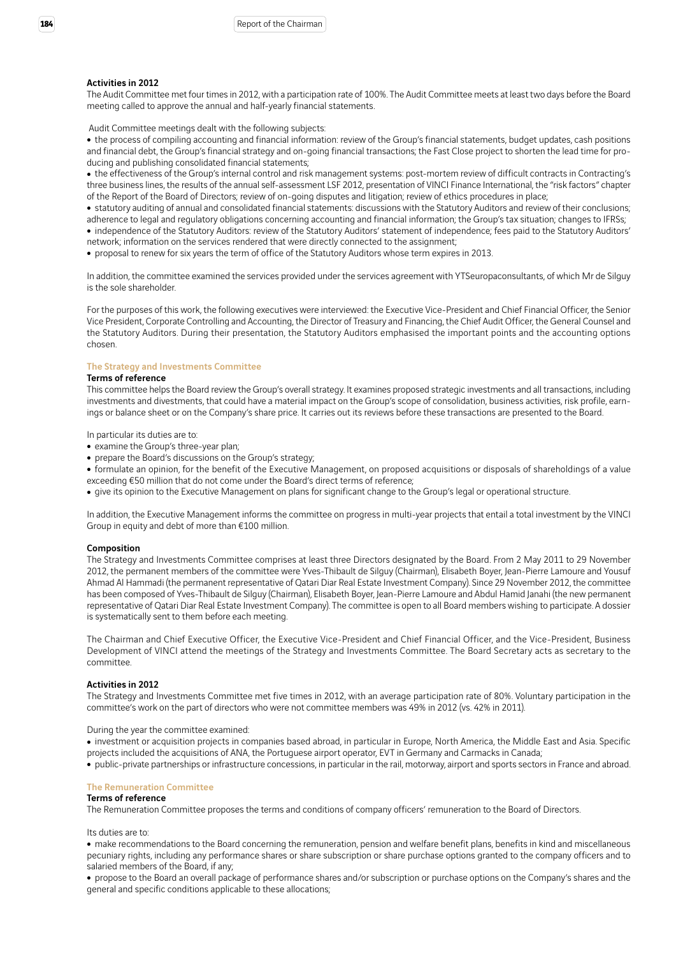#### Activities in 2012

The Audit Committee met four times in 2012, with a participation rate of 100%. The Audit Committee meets at least two days before the Board meeting called to approve the annual and half-yearly financial statements.

Audit Committee meetings dealt with the following subjects:

• the process of compiling accounting and financial information: review of the Group's financial statements, budget updates, cash positions and financial debt, the Group's financial strategy and on-going financial transactions; the Fast Close project to shorten the lead time for producing and publishing consolidated financial statements;

• the effectiveness of the Group's internal control and risk management systems: post-mortem review of difficult contracts in Contracting's three business lines, the results of the annual self-assessment LSF 2012, presentation of VINCI Finance International, the "risk factors" chapter of the Report of the Board of Directors; review of on-going disputes and litigation; review of ethics procedures in place;

• statutory auditing of annual and consolidated financial statements: discussions with the Statutory Auditors and review of their conclusions; adherence to legal and regulatory obligations concerning accounting and financial information; the Group's tax situation; changes to IFRSs;

• independence of the Statutory Auditors: review of the Statutory Auditors' statement of independence; fees paid to the Statutory Auditors' network; information on the services rendered that were directly connected to the assignment;

• proposal to renew for six years the term of office of the Statutory Auditors whose term expires in 2013.

In addition, the committee examined the services provided under the services agreement with YTSeuropaconsultants, of which Mr de Silguy is the sole shareholder.

For the purposes of this work, the following executives were interviewed: the Executive Vice-President and Chief Financial Officer, the Senior Vice President, Corporate Controlling and Accounting, the Director of Treasury and Financing, the Chief Audit Officer, the General Counsel and the Statutory Auditors. During their presentation, the Statutory Auditors emphasised the important points and the accounting options chosen.

#### The Strategy and Investments Committee

#### Terms of reference

This committee helps the Board review the Group's overall strategy. It examines proposed strategic investments and all transactions, including investments and divestments, that could have a material impact on the Group's scope of consolidation, business activities, risk profile, earnings or balance sheet or on the Company's share price. It carries out its reviews before these transactions are presented to the Board.

In particular its duties are to:

- examine the Group's three-year plan:
- prepare the Board's discussions on the Group's strategy;
- formulate an opinion, for the benefit of the Executive Management, on proposed acquisitions or disposals of shareholdings of a value exceeding €50 million that do not come under the Board's direct terms of reference;

• give its opinion to the Executive Management on plans for significant change to the Group's legal or operational structure.

In addition, the Executive Management informs the committee on progress in multi-year projects that entail a total investment by the VINCI Group in equity and debt of more than €100 million.

#### Composition

The Strategy and Investments Committee comprises at least three Directors designated by the Board. From 2 May 2011 to 29 November 2012, the permanent members of the committee were Yves-Thibault de Silguy (Chairman), Elisabeth Boyer, Jean-Pierre Lamoure and Yousuf Ahmad Al Hammadi (the permanent representative of Qatari Diar Real Estate Investment Company). Since 29 November 2012, the committee has been composed of Yves-Thibault de Silguy (Chairman), Elisabeth Boyer, Jean-Pierre Lamoure and Abdul Hamid Janahi (the new permanent representative of Qatari Diar Real Estate Investment Company). The committee is open to all Board members wishing to participate. A dossier is systematically sent to them before each meeting.

The Chairman and Chief Executive Officer, the Executive Vice-President and Chief Financial Officer, and the Vice-President, Business Development of VINCI attend the meetings of the Strategy and Investments Committee. The Board Secretary acts as secretary to the committee.

#### Activities in 2012

The Strategy and Investments Committee met five times in 2012, with an average participation rate of 80%. Voluntary participation in the committee's work on the part of directors who were not committee members was 49% in 2012 (vs. 42% in 2011).

#### During the year the committee examined:

• investment or acquisition projects in companies based abroad, in particular in Europe, North America, the Middle East and Asia. Specific projects included the acquisitions of ANA, the Portuguese airport operator, EVT in Germany and Carmacks in Canada;

<sup>ˇ</sup> public-private partnerships or infrastructure concessions, in particular in the rail, motorway, airport and sports sectors in France and abroad.

#### The Remuneration Committee

#### Terms of reference

The Remuneration Committee proposes the terms and conditions of company officers' remuneration to the Board of Directors.

Its duties are to:

• make recommendations to the Board concerning the remuneration, pension and welfare benefit plans, benefits in kind and miscellaneous pecuniary rights, including any performance shares or share subscription or share purchase options granted to the company officers and to salaried members of the Board, if any;

• propose to the Board an overall package of performance shares and/or subscription or purchase options on the Company's shares and the general and specific conditions applicable to these allocations;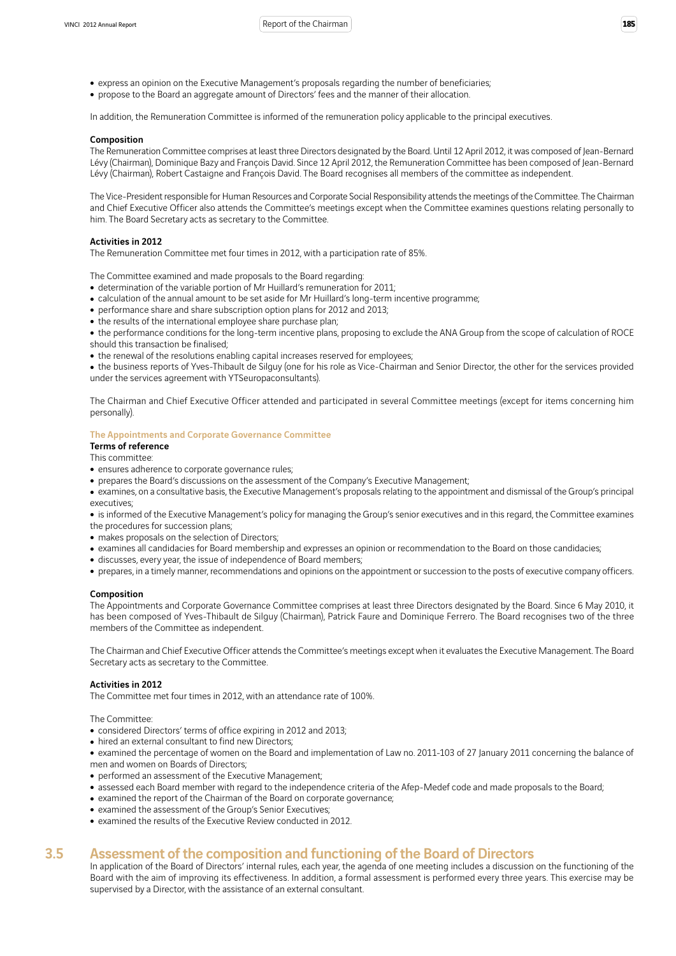- express an opinion on the Executive Management's proposals regarding the number of beneficiaries;
- propose to the Board an aggregate amount of Directors' fees and the manner of their allocation.

In addition, the Remuneration Committee is informed of the remuneration policy applicable to the principal executives.

#### Composition

The Remuneration Committee comprises at least three Directors designated by the Board. Until 12 April 2012, it was composed of Jean-Bernard Lévy (Chairman), Dominique Bazy and François David. Since 12 April 2012, the Remuneration Committee has been composed of Jean-Bernard Lévy (Chairman), Robert Castaigne and François David. The Board recognises all members of the committee as independent.

The Vice-President responsible for Human Resources and Corporate Social Responsibility attends the meetings of the Committee. The Chairman and Chief Executive Officer also attends the Committee's meetings except when the Committee examines questions relating personally to him. The Board Secretary acts as secretary to the Committee.

#### Activities in 2012

The Remuneration Committee met four times in 2012, with a participation rate of 85%.

The Committee examined and made proposals to the Board regarding:

- determination of the variable portion of Mr Huillard's remuneration for 2011;
- calculation of the annual amount to be set aside for Mr Huillard's long-term incentive programme;
- performance share and share subscription option plans for 2012 and 2013;
- the results of the international employee share purchase plan;

• the performance conditions for the long-term incentive plans, proposing to exclude the ANA Group from the scope of calculation of ROCE should this transaction be finalised;

• the renewal of the resolutions enabling capital increases reserved for employees;

• the business reports of Yves-Thibault de Silguy (one for his role as Vice-Chairman and Senior Director, the other for the services provided under the services agreement with YTSeuropaconsultants).

The Chairman and Chief Executive Officer attended and participated in several Committee meetings (except for items concerning him personally).

#### The Appointments and Corporate Governance Committee

Terms of reference This committee:

- 
- ensures adherence to corporate governance rules;
- prepares the Board's discussions on the assessment of the Company's Executive Management;
- examines, on a consultative basis, the Executive Management's proposals relating to the appointment and dismissal of the Group's principal executives;

• is informed of the Executive Management's policy for managing the Group's senior executives and in this regard, the Committee examines the procedures for succession plans;

- makes proposals on the selection of Directors;
- examines all candidacies for Board membership and expresses an opinion or recommendation to the Board on those candidacies;
- discusses, every year, the issue of independence of Board members;
- prepares, in a timely manner, recommendations and opinions on the appointment or succession to the posts of executive company officers.

#### Composition

The Appointments and Corporate Governance Committee comprises at least three Directors designated by the Board. Since 6 May 2010, it has been composed of Yves-Thibault de Silguy (Chairman), Patrick Faure and Dominique Ferrero. The Board recognises two of the three members of the Committee as independent.

The Chairman and Chief Executive Officer attends the Committee's meetings except when it evaluates the Executive Management. The Board Secretary acts as secretary to the Committee.

#### Activities in 2012

The Committee met four times in 2012, with an attendance rate of 100%.

The Committee:

- considered Directors' terms of office expiring in 2012 and 2013;
- hired an external consultant to find new Directors;
- examined the percentage of women on the Board and implementation of Law no. 2011-103 of 27 January 2011 concerning the balance of men and women on Boards of Directors;
- performed an assessment of the Executive Management;
- assessed each Board member with regard to the independence criteria of the Afep-Medef code and made proposals to the Board;
- examined the report of the Chairman of the Board on corporate governance;
- examined the assessment of the Group's Senior Executives;
- examined the results of the Executive Review conducted in 2012.

## 3.5 Assessment of the composition and functioning of the Board of Directors

In application of the Board of Directors' internal rules, each year, the agenda of one meeting includes a discussion on the functioning of the Board with the aim of improving its effectiveness. In addition, a formal assessment is performed every three years. This exercise may be supervised by a Director, with the assistance of an external consultant.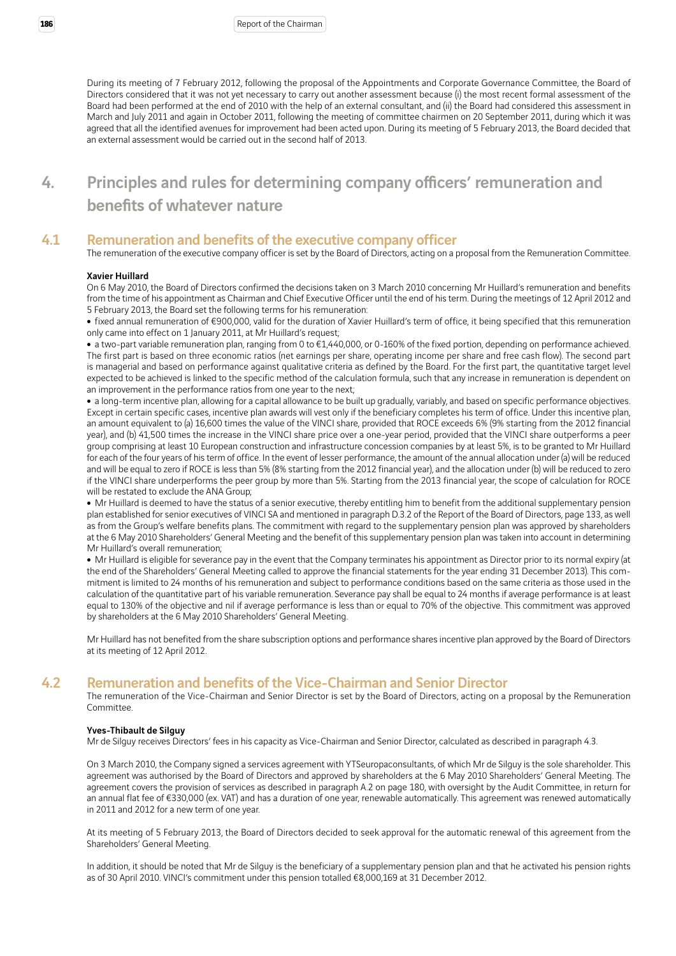During its meeting of 7 February 2012, following the proposal of the Appointments and Corporate Governance Committee, the Board of Directors considered that it was not yet necessary to carry out another assessment because (i) the most recent formal assessment of the Board had been performed at the end of 2010 with the help of an external consultant, and (ii) the Board had considered this assessment in March and July 2011 and again in October 2011, following the meeting of committee chairmen on 20 September 2011, during which it was agreed that all the identified avenues for improvement had been acted upon. During its meeting of 5 February 2013, the Board decided that an external assessment would be carried out in the second half of 2013.

# 4. Principles and rules for determining company officers' remuneration and benefits of whatever nature

### 4.1 Remuneration and benefits of the executive company officer

The remuneration of the executive company officer is set by the Board of Directors, acting on a proposal from the Remuneration Committee.

#### Xavier Huillard

On 6 May 2010, the Board of Directors confirmed the decisions taken on 3 March 2010 concerning Mr Huillard's remuneration and benefits from the time of his appointment as Chairman and Chief Executive Officer until the end of his term. During the meetings of 12 April 2012 and 5 February 2013, the Board set the following terms for his remuneration:

<sup>ˇ</sup> fixed annual remuneration of €900,000, valid for the duration of Xavier Huillard's term of office, it being specified that this remuneration only came into effect on 1 January 2011, at Mr Huillard's request;

■ a two-part variable remuneration plan, ranging from 0 to €1,440,000, or 0-160% of the fixed portion, depending on performance achieved. The first part is based on three economic ratios (net earnings per share, operating income per share and free cash flow). The second part is managerial and based on performance against qualitative criteria as defined by the Board. For the first part, the quantitative target level expected to be achieved is linked to the specific method of the calculation formula, such that any increase in remuneration is dependent on an improvement in the performance ratios from one year to the next;

• a long-term incentive plan, allowing for a capital allowance to be built up gradually, variably, and based on specific performance objectives. Except in certain specific cases, incentive plan awards will vest only if the beneficiary completes his term of office. Under this incentive plan, an amount equivalent to (a) 16,600 times the value of the VINCI share, provided that ROCE exceeds 6% (9% starting from the 2012 financial year), and (b) 41,500 times the increase in the VINCI share price over a one-year period, provided that the VINCI share outperforms a peer group comprising at least 10 European construction and infrastructure concession companies by at least 5%, is to be granted to Mr Huillard for each of the four years of his term of office. In the event of lesser performance, the amount of the annual allocation under (a) will be reduced and will be equal to zero if ROCE is less than 5% (8% starting from the 2012 financial year), and the allocation under (b) will be reduced to zero if the VINCI share underperforms the peer group by more than 5%. Starting from the 2013 financial year, the scope of calculation for ROCE will be restated to exclude the ANA Group;

• Mr Huillard is deemed to have the status of a senior executive, thereby entitling him to benefit from the additional supplementary pension plan established for senior executives of VINCI SA and mentioned in paragraph D.3.2 of the Report of the Board of Directors, page 133, as well as from the Group's welfare benefits plans. The commitment with regard to the supplementary pension plan was approved by shareholders at the 6 May 2010 Shareholders' General Meeting and the benefit of this supplementary pension plan was taken into account in determining Mr Huillard's overall remuneration;

• Mr Huillard is eligible for severance pay in the event that the Company terminates his appointment as Director prior to its normal expiry (at the end of the Shareholders' General Meeting called to approve the financial statements for the year ending 31 December 2013). This commitment is limited to 24 months of his remuneration and subject to performance conditions based on the same criteria as those used in the calculation of the quantitative part of his variable remuneration. Severance pay shall be equal to 24 months if average performance is at least equal to 130% of the objective and nil if average performance is less than or equal to 70% of the objective. This commitment was approved by shareholders at the 6 May 2010 Shareholders' General Meeting.

Mr Huillard has not benefited from the share subscription options and performance shares incentive plan approved by the Board of Directors at its meeting of 12 April 2012.

### 4.2 Remuneration and benefits of the Vice-Chairman and Senior Director

The remuneration of the Vice-Chairman and Senior Director is set by the Board of Directors, acting on a proposal by the Remuneration **Committee** 

#### Yves-Thibault de Silguy

Mr de Silguy receives Directors' fees in his capacity as Vice-Chairman and Senior Director, calculated as described in paragraph 4.3.

On 3 March 2010, the Company signed a services agreement with YTSeuropaconsultants, of which Mr de Silguy is the sole shareholder. This agreement was authorised by the Board of Directors and approved by shareholders at the 6 May 2010 Shareholders' General Meeting. The agreement covers the provision of services as described in paragraph A.2 on page 180, with oversight by the Audit Committee, in return for an annual flat fee of €330,000 (ex. VAT) and has a duration of one year, renewable automatically. This agreement was renewed automatically in 2011 and 2012 for a new term of one year.

At its meeting of 5 February 2013, the Board of Directors decided to seek approval for the automatic renewal of this agreement from the Shareholders' General Meeting.

In addition, it should be noted that Mr de Silguy is the beneficiary of a supplementary pension plan and that he activated his pension rights as of 30 April 2010. VINCI's commitment under this pension totalled €8,000,169 at 31 December 2012.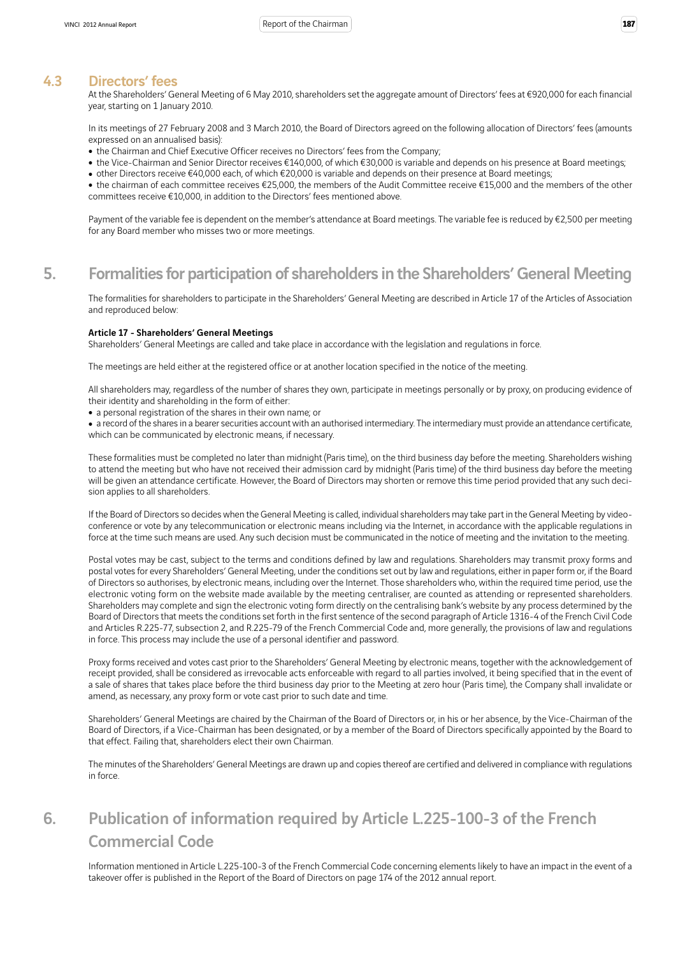### 4.3 Directors' fees

At the Shareholders' General Meeting of 6 May 2010, shareholders set the aggregate amount of Directors' fees at €920,000 for each financial year, starting on 1 January 2010.

In its meetings of 27 February 2008 and 3 March 2010, the Board of Directors agreed on the following allocation of Directors' fees (amounts expressed on an annualised basis):

- the Chairman and Chief Executive Officer receives no Directors' fees from the Company;
- the Vice-Chairman and Senior Director receives €140,000, of which €30,000 is variable and depends on his presence at Board meetings;
- other Directors receive €40,000 each, of which €20,000 is variable and depends on their presence at Board meetings;

• the chairman of each committee receives €25,000, the members of the Audit Committee receive €15,000 and the members of the other committees receive €10,000, in addition to the Directors' fees mentioned above.

Payment of the variable fee is dependent on the member's attendance at Board meetings. The variable fee is reduced by €2,500 per meeting for any Board member who misses two or more meetings.

## 5. Formalities for participation of shareholders in the Shareholders' General Meeting

The formalities for shareholders to participate in the Shareholders' General Meeting are described in Article 17 of the Articles of Association and reproduced below:

#### Article 17 - Shareholders' General Meetings

Shareholders' General Meetings are called and take place in accordance with the legislation and regulations in force.

The meetings are held either at the registered office or at another location specified in the notice of the meeting.

All shareholders may, regardless of the number of shares they own, participate in meetings personally or by proxy, on producing evidence of their identity and shareholding in the form of either:

• a personal registration of the shares in their own name; or

<sup>ˇ</sup> a record of the shares in a bearer securities account with an authorised intermediary. The intermediary must provide an attendance certificate, which can be communicated by electronic means, if necessary.

These formalities must be completed no later than midnight (Paris time), on the third business day before the meeting. Shareholders wishing to attend the meeting but who have not received their admission card by midnight (Paris time) of the third business day before the meeting will be given an attendance certificate. However, the Board of Directors may shorten or remove this time period provided that any such decision applies to all shareholders.

If the Board of Directors so decides when the General Meeting is called, individual shareholders may take part in the General Meeting by videoconference or vote by any telecommunication or electronic means including via the Internet, in accordance with the applicable regulations in force at the time such means are used. Any such decision must be communicated in the notice of meeting and the invitation to the meeting.

Postal votes may be cast, subject to the terms and conditions defined by law and regulations. Shareholders may transmit proxy forms and postal votes for every Shareholders' General Meeting, under the conditions set out by law and regulations, either in paper form or, if the Board of Directors so authorises, by electronic means, including over the Internet. Those shareholders who, within the required time period, use the electronic voting form on the website made available by the meeting centraliser, are counted as attending or represented shareholders. Shareholders may complete and sign the electronic voting form directly on the centralising bank's website by any process determined by the Board of Directors that meets the conditions set forth in the first sentence of the second paragraph of Article 1316-4 of the French Civil Code and Articles R.225-77, subsection 2, and R.225-79 of the French Commercial Code and, more generally, the provisions of law and regulations in force. This process may include the use of a personal identifier and password.

Proxy forms received and votes cast prior to the Shareholders' General Meeting by electronic means, together with the acknowledgement of receipt provided, shall be considered as irrevocable acts enforceable with regard to all parties involved, it being specified that in the event of a sale of shares that takes place before the third business day prior to the Meeting at zero hour (Paris time), the Company shall invalidate or amend, as necessary, any proxy form or vote cast prior to such date and time.

Shareholders' General Meetings are chaired by the Chairman of the Board of Directors or, in his or her absence, by the Vice-Chairman of the Board of Directors, if a Vice-Chairman has been designated, or by a member of the Board of Directors specifically appointed by the Board to that effect. Failing that, shareholders elect their own Chairman.

The minutes of the Shareholders' General Meetings are drawn up and copies thereof are certified and delivered in compliance with regulations in force.

# 6. Publication of information required by Article L.225-100-3 of the French Commercial Code

Information mentioned in Article L.225-100-3 of the French Commercial Code concerning elements likely to have an impact in the event of a takeover offer is published in the Report of the Board of Directors on page 174 of the 2012 annual report.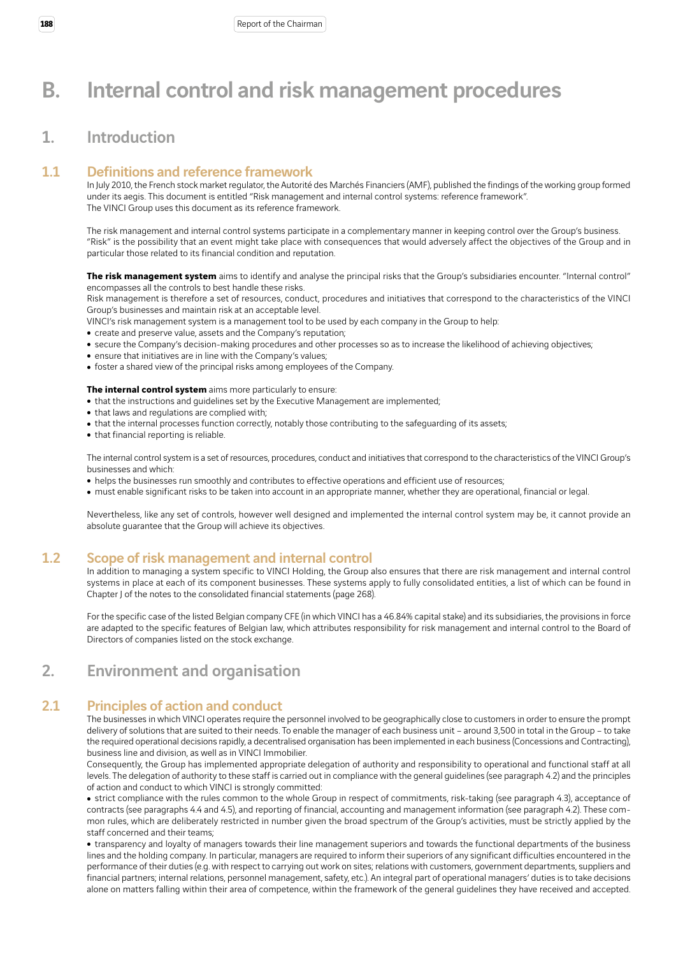# B. Internal control and risk management procedures

## 1. Introduction

## 1.1 Definitions and reference framework

In July 2010, the French stock market regulator, the Autorité des Marchés Financiers (AMF), published the findings of the working group formed under its aegis. This document is entitled "Risk management and internal control systems: reference framework". The VINCI Group uses this document as its reference framework.

The risk management and internal control systems participate in a complementary manner in keeping control over the Group's business. "Risk" is the possibility that an event might take place with consequences that would adversely affect the objectives of the Group and in particular those related to its financial condition and reputation.

The risk management system aims to identify and analyse the principal risks that the Group's subsidiaries encounter. "Internal control" encompasses all the controls to best handle these risks.

Risk management is therefore a set of resources, conduct, procedures and initiatives that correspond to the characteristics of the VINCI Group's businesses and maintain risk at an acceptable level.

VINCI's risk management system is a management tool to be used by each company in the Group to help:

- create and preserve value, assets and the Company's reputation;
- secure the Company's decision-making procedures and other processes so as to increase the likelihood of achieving objectives;
- ensure that initiatives are in line with the Company's values;
- foster a shared view of the principal risks among employees of the Company.

#### **The internal control system** aims more particularly to ensure:

- that the instructions and guidelines set by the Executive Management are implemented;
- that laws and regulations are complied with;
- that the internal processes function correctly, notably those contributing to the safeguarding of its assets;
- that financial reporting is reliable.

The internal control system is a set of resources, procedures, conduct and initiatives that correspond to the characteristics of the VINCI Group's businesses and which:

- helps the businesses run smoothly and contributes to effective operations and efficient use of resources;
- must enable significant risks to be taken into account in an appropriate manner, whether they are operational, financial or legal.

Nevertheless, like any set of controls, however well designed and implemented the internal control system may be, it cannot provide an absolute guarantee that the Group will achieve its objectives.

## 1.2 Scope of risk management and internal control

In addition to managing a system specific to VINCI Holding, the Group also ensures that there are risk management and internal control systems in place at each of its component businesses. These systems apply to fully consolidated entities, a list of which can be found in Chapter J of the notes to the consolidated financial statements (page 268).

For the specific case of the listed Belgian company CFE (in which VINCI has a 46.84% capital stake) and its subsidiaries, the provisions in force are adapted to the specific features of Belgian law, which attributes responsibility for risk management and internal control to the Board of Directors of companies listed on the stock exchange.

## 2. Environment and organisation

## 2.1 Principles of action and conduct

The businesses in which VINCI operates require the personnel involved to be geographically close to customers in order to ensure the prompt delivery of solutions that are suited to their needs. To enable the manager of each business unit – around 3,500 in total in the Group – to take the required operational decisions rapidly, a decentralised organisation has been implemented in each business (Concessions and Contracting), business line and division, as well as in VINCI Immobilier.

Consequently, the Group has implemented appropriate delegation of authority and responsibility to operational and functional staff at all levels. The delegation of authority to these staff is carried out in compliance with the general guidelines (see paragraph 4.2) and the principles of action and conduct to which VINCI is strongly committed:

• strict compliance with the rules common to the whole Group in respect of commitments, risk-taking (see paragraph 4.3), acceptance of contracts (see paragraphs 4.4 and 4.5), and reporting of financial, accounting and management information (see paragraph 4.2). These common rules, which are deliberately restricted in number given the broad spectrum of the Group's activities, must be strictly applied by the staff concerned and their teams;

• transparency and loyalty of managers towards their line management superiors and towards the functional departments of the business lines and the holding company. In particular, managers are required to inform their superiors of any significant difficulties encountered in the performance of their duties (e.g. with respect to carrying out work on sites; relations with customers, government departments, suppliers and financial partners; internal relations, personnel management, safety, etc.). An integral part of operational managers' duties is to take decisions alone on matters falling within their area of competence, within the framework of the general guidelines they have received and accepted.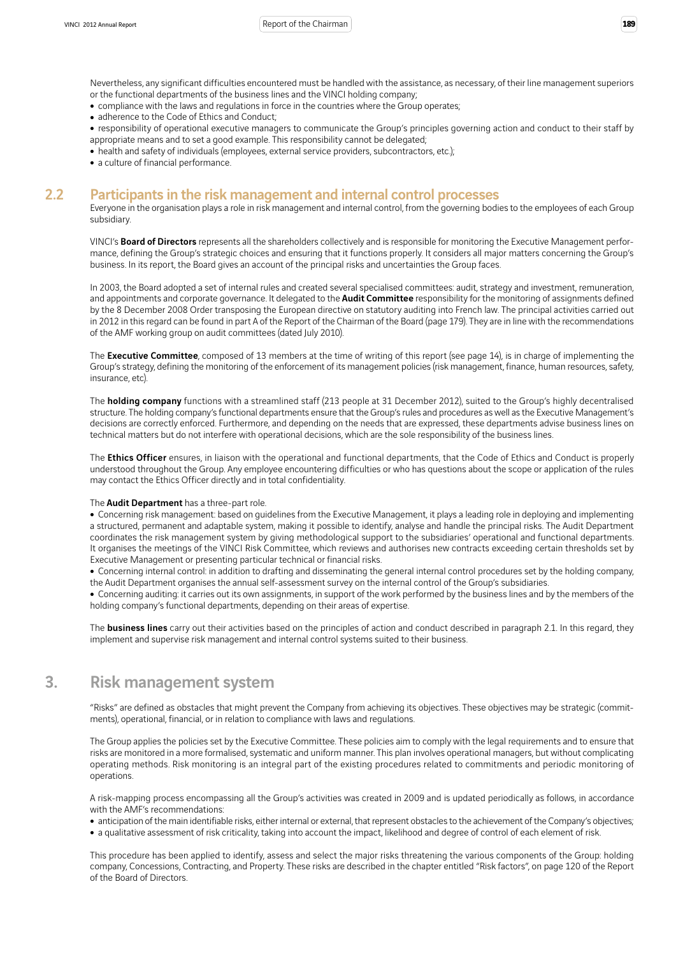Nevertheless, any significant difficulties encountered must be handled with the assistance, as necessary, of their line management superiors or the functional departments of the business lines and the VINCI holding company;

- compliance with the laws and regulations in force in the countries where the Group operates;
- adherence to the Code of Ethics and Conduct;
- <sup>ˇ</sup> responsibility of operational executive managers to communicate the Group's principles governing action and conduct to their staff by appropriate means and to set a good example. This responsibility cannot be delegated;
- health and safety of individuals (employees, external service providers, subcontractors, etc.);
- a culture of financial performance.

### 2.2 Participants in the risk management and internal control processes

Everyone in the organisation plays a role in risk management and internal control, from the governing bodies to the employees of each Group subsidiary.

VINCI's Board of Directors represents all the shareholders collectively and is responsible for monitoring the Executive Management performance, defining the Group's strategic choices and ensuring that it functions properly. It considers all major matters concerning the Group's business. In its report, the Board gives an account of the principal risks and uncertainties the Group faces.

In 2003, the Board adopted a set of internal rules and created several specialised committees: audit, strategy and investment, remuneration, and appointments and corporate governance. It delegated to the **Audit Committee** responsibility for the monitoring of assignments defined by the 8 December 2008 Order transposing the European directive on statutory auditing into French law. The principal activities carried out in 2012 in this regard can be found in part A of the Report of the Chairman of the Board (page 179). They are in line with the recommendations of the AMF working group on audit committees (dated July 2010).

The Executive Committee, composed of 13 members at the time of writing of this report (see page 14), is in charge of implementing the Group's strategy, defining the monitoring of the enforcement of its management policies (risk management, finance, human resources, safety, insurance, etc).

The **holding company** functions with a streamlined staff (213 people at 31 December 2012), suited to the Group's highly decentralised structure. The holding company's functional departments ensure that the Group's rules and procedures as well as the Executive Management's decisions are correctly enforced. Furthermore, and depending on the needs that are expressed, these departments advise business lines on technical matters but do not interfere with operational decisions, which are the sole responsibility of the business lines.

The Ethics Officer ensures, in liaison with the operational and functional departments, that the Code of Ethics and Conduct is properly understood throughout the Group. Any employee encountering difficulties or who has questions about the scope or application of the rules may contact the Ethics Officer directly and in total confidentiality.

#### The **Audit Department** has a three-part role.

• Concerning risk management: based on guidelines from the Executive Management, it plays a leading role in deploying and implementing a structured, permanent and adaptable system, making it possible to identify, analyse and handle the principal risks. The Audit Department coordinates the risk management system by giving methodological support to the subsidiaries' operational and functional departments. It organises the meetings of the VINCI Risk Committee, which reviews and authorises new contracts exceeding certain thresholds set by Executive Management or presenting particular technical or financial risks.

• Concerning internal control: in addition to drafting and disseminating the general internal control procedures set by the holding company, the Audit Department organises the annual self-assessment survey on the internal control of the Group's subsidiaries.

• Concerning auditing: it carries out its own assignments, in support of the work performed by the business lines and by the members of the holding company's functional departments, depending on their areas of expertise.

The **business lines** carry out their activities based on the principles of action and conduct described in paragraph 2.1. In this regard, they implement and supervise risk management and internal control systems suited to their business.

## 3. Risk management system

"Risks" are defined as obstacles that might prevent the Company from achieving its objectives. These objectives may be strategic (commitments), operational, financial, or in relation to compliance with laws and regulations.

The Group applies the policies set by the Executive Committee. These policies aim to comply with the legal requirements and to ensure that risks are monitored in a more formalised, systematic and uniform manner. This plan involves operational managers, but without complicating operating methods. Risk monitoring is an integral part of the existing procedures related to commitments and periodic monitoring of operations.

A risk-mapping process encompassing all the Group's activities was created in 2009 and is updated periodically as follows, in accordance with the AMF's recommendations:

• anticipation of the main identifiable risks, either internal or external, that represent obstacles to the achievement of the Company's objectives;

• a qualitative assessment of risk criticality, taking into account the impact, likelihood and degree of control of each element of risk.

This procedure has been applied to identify, assess and select the major risks threatening the various components of the Group: holding company, Concessions, Contracting, and Property. These risks are described in the chapter entitled "Risk factors", on page 120 of the Report of the Board of Directors.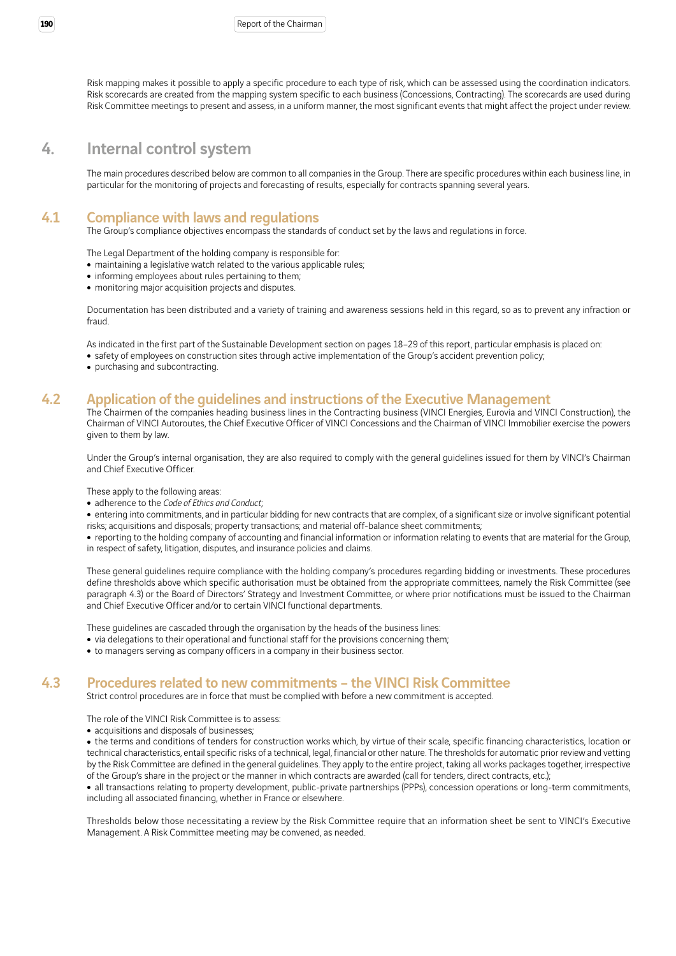Risk mapping makes it possible to apply a specific procedure to each type of risk, which can be assessed using the coordination indicators. Risk scorecards are created from the mapping system specific to each business (Concessions, Contracting). The scorecards are used during Risk Committee meetings to present and assess, in a uniform manner, the most significant events that might affect the project under review.

## 4. Internal control system

The main procedures described below are common to all companies in the Group. There are specific procedures within each business line, in particular for the monitoring of projects and forecasting of results, especially for contracts spanning several years.

## 4.1 Compliance with laws and regulations

The Group's compliance objectives encompass the standards of conduct set by the laws and regulations in force.

The Legal Department of the holding company is responsible for:

- maintaining a legislative watch related to the various applicable rules;
- informing employees about rules pertaining to them;
- monitoring major acquisition projects and disputes.

Documentation has been distributed and a variety of training and awareness sessions held in this regard, so as to prevent any infraction or fraud.

As indicated in the first part of the Sustainable Development section on pages 18–29 of this report, particular emphasis is placed on: • safety of employees on construction sites through active implementation of the Group's accident prevention policy;

• purchasing and subcontracting.

# 4.2 Application of the guidelines and instructions of the Executive Management

The Chairmen of the companies heading business lines in the Contracting business (VINCI Energies, Eurovia and VINCI Construction), the Chairman of VINCI Autoroutes, the Chief Executive Officer of VINCI Concessions and the Chairman of VINCI Immobilier exercise the powers given to them by law.

Under the Group's internal organisation, they are also required to comply with the general guidelines issued for them by VINCI's Chairman and Chief Executive Officer.

These apply to the following areas:

• adherence to the *Code of Ethics and Conduct*;

• entering into commitments, and in particular bidding for new contracts that are complex, of a significant size or involve significant potential risks; acquisitions and disposals; property transactions; and material off-balance sheet commitments;

• reporting to the holding company of accounting and financial information or information relating to events that are material for the Group, in respect of safety, litigation, disputes, and insurance policies and claims.

These general guidelines require compliance with the holding company's procedures regarding bidding or investments. These procedures define thresholds above which specific authorisation must be obtained from the appropriate committees, namely the Risk Committee (see paragraph 4.3) or the Board of Directors' Strategy and Investment Committee, or where prior notifications must be issued to the Chairman and Chief Executive Officer and/or to certain VINCI functional departments.

These guidelines are cascaded through the organisation by the heads of the business lines:

- via delegations to their operational and functional staff for the provisions concerning them;
- to managers serving as company officers in a company in their business sector.

## 4.3 Procedures related to new commitments – the VINCI Risk Committee

Strict control procedures are in force that must be complied with before a new commitment is accepted.

The role of the VINCI Risk Committee is to assess:

• acquisitions and disposals of businesses:

• the terms and conditions of tenders for construction works which, by virtue of their scale, specific financing characteristics, location or technical characteristics, entail specific risks of a technical, legal, financial or other nature. The thresholds for automatic prior review and vetting by the Risk Committee are defined in the general guidelines. They apply to the entire project, taking all works packages together, irrespective of the Group's share in the project or the manner in which contracts are awarded (call for tenders, direct contracts, etc.);

• all transactions relating to property development, public-private partnerships (PPPs), concession operations or long-term commitments, including all associated financing, whether in France or elsewhere.

Thresholds below those necessitating a review by the Risk Committee require that an information sheet be sent to VINCI's Executive Management. A Risk Committee meeting may be convened, as needed.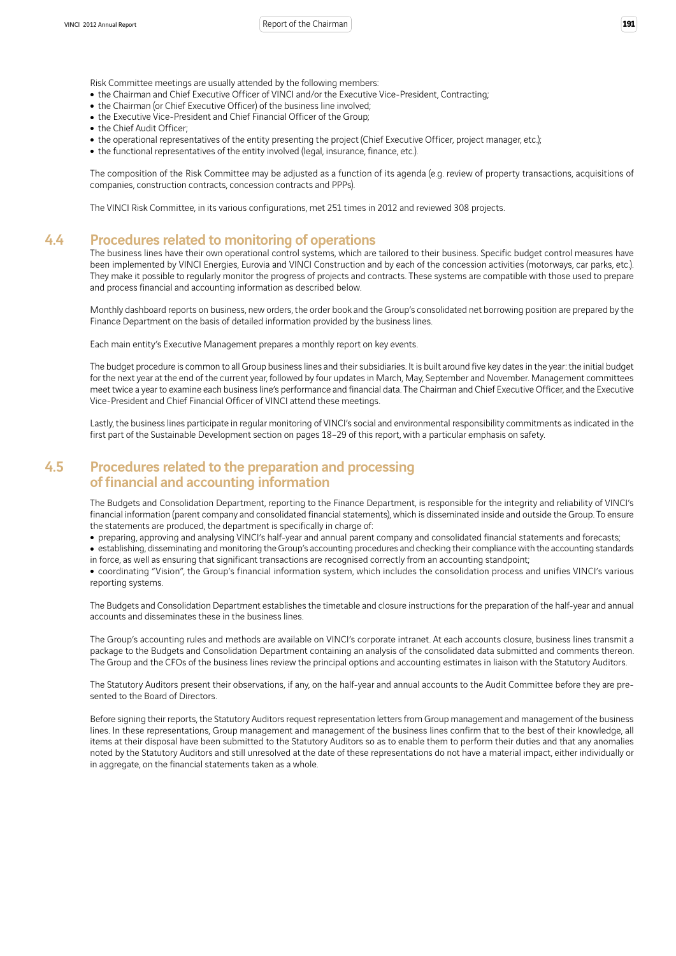Risk Committee meetings are usually attended by the following members:

- the Chairman and Chief Executive Officer of VINCI and/or the Executive Vice-President, Contracting;
- the Chairman (or Chief Executive Officer) of the business line involved;
- the Executive Vice-President and Chief Financial Officer of the Group;
- the Chief Audit Officer;
- the operational representatives of the entity presenting the project (Chief Executive Officer, project manager, etc.);
- the functional representatives of the entity involved (legal, insurance, finance, etc.).

The composition of the Risk Committee may be adjusted as a function of its agenda (e.g. review of property transactions, acquisitions of companies, construction contracts, concession contracts and PPPs).

The VINCI Risk Committee, in its various configurations, met 251 times in 2012 and reviewed 308 projects.

### 4.4 Procedures related to monitoring of operations

The business lines have their own operational control systems, which are tailored to their business. Specific budget control measures have been implemented by VINCI Energies, Eurovia and VINCI Construction and by each of the concession activities (motorways, car parks, etc.). They make it possible to regularly monitor the progress of projects and contracts. These systems are compatible with those used to prepare and process financial and accounting information as described below.

Monthly dashboard reports on business, new orders, the order book and the Group's consolidated net borrowing position are prepared by the Finance Department on the basis of detailed information provided by the business lines.

Each main entity's Executive Management prepares a monthly report on key events.

The budget procedure is common to all Group business lines and their subsidiaries. It is built around five key dates in the year: the initial budget for the next year at the end of the current year, followed by four updates in March, May, September and November. Management committees meet twice a year to examine each business line's performance and financial data. The Chairman and Chief Executive Officer, and the Executive Vice-President and Chief Financial Officer of VINCI attend these meetings.

Lastly, the business lines participate in regular monitoring of VINCI's social and environmental responsibility commitments as indicated in the first part of the Sustainable Development section on pages 18–29 of this report, with a particular emphasis on safety.

## 4.5 Procedures related to the preparation and processing of financial and accounting information

The Budgets and Consolidation Department, reporting to the Finance Department, is responsible for the integrity and reliability of VINCI's financial information (parent company and consolidated financial statements), which is disseminated inside and outside the Group. To ensure the statements are produced, the department is specifically in charge of:

• preparing, approving and analysing VINCI's half-year and annual parent company and consolidated financial statements and forecasts;

• establishing, disseminating and monitoring the Group's accounting procedures and checking their compliance with the accounting standards in force, as well as ensuring that significant transactions are recognised correctly from an accounting standpoint;

<sup>ˇ</sup> coordinating "Vision", the Group's financial information system, which includes the consolidation process and unifies VINCI's various reporting systems.

The Budgets and Consolidation Department establishes the timetable and closure instructions for the preparation of the half-year and annual accounts and disseminates these in the business lines.

The Group's accounting rules and methods are available on VINCI's corporate intranet. At each accounts closure, business lines transmit a package to the Budgets and Consolidation Department containing an analysis of the consolidated data submitted and comments thereon. The Group and the CFOs of the business lines review the principal options and accounting estimates in liaison with the Statutory Auditors.

The Statutory Auditors present their observations, if any, on the half-year and annual accounts to the Audit Committee before they are presented to the Board of Directors.

Before signing their reports, the Statutory Auditors request representation letters from Group management and management of the business lines. In these representations, Group management and management of the business lines confirm that to the best of their knowledge, all items at their disposal have been submitted to the Statutory Auditors so as to enable them to perform their duties and that any anomalies noted by the Statutory Auditors and still unresolved at the date of these representations do not have a material impact, either individually or in aggregate, on the financial statements taken as a whole.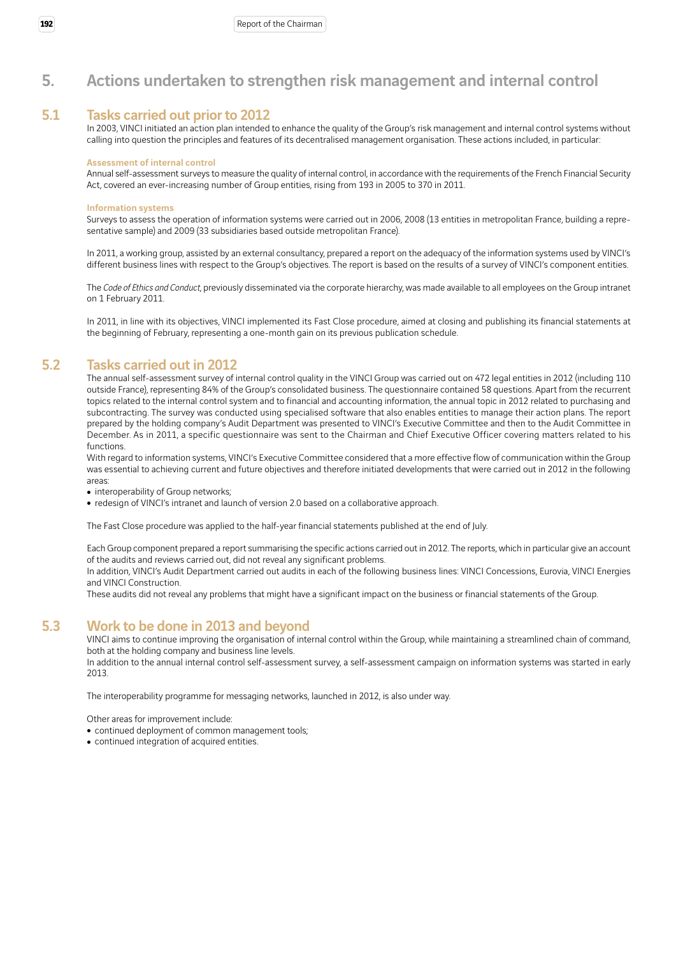## 5. Actions undertaken to strengthen risk management and internal control

### 5.1 Tasks carried out prior to 2012

In 2003, VINCI initiated an action plan intended to enhance the quality of the Group's risk management and internal control systems without calling into question the principles and features of its decentralised management organisation. These actions included, in particular:

#### Assessment of internal control

Annual self-assessment surveys to measure the quality of internal control, in accordance with the requirements of the French Financial Security Act, covered an ever-increasing number of Group entities, rising from 193 in 2005 to 370 in 2011.

#### Information systems

Surveys to assess the operation of information systems were carried out in 2006, 2008 (13 entities in metropolitan France, building a representative sample) and 2009 (33 subsidiaries based outside metropolitan France).

In 2011, a working group, assisted by an external consultancy, prepared a report on the adequacy of the information systems used by VINCI's different business lines with respect to the Group's objectives. The report is based on the results of a survey of VINCI's component entities.

The *Code of Ethics and Conduct*, previously disseminated via the corporate hierarchy, was made available to all employees on the Group intranet on 1 February 2011.

In 2011, in line with its objectives, VINCI implemented its Fast Close procedure, aimed at closing and publishing its financial statements at the beginning of February, representing a one-month gain on its previous publication schedule.

## 5.2 Tasks carried out in 2012

The annual self-assessment survey of internal control quality in the VINCI Group was carried out on 472 legal entities in 2012 (including 110 outside France), representing 84% of the Group's consolidated business. The questionnaire contained 58 questions. Apart from the recurrent topics related to the internal control system and to financial and accounting information, the annual topic in 2012 related to purchasing and subcontracting. The survey was conducted using specialised software that also enables entities to manage their action plans. The report prepared by the holding company's Audit Department was presented to VINCI's Executive Committee and then to the Audit Committee in December. As in 2011, a specific questionnaire was sent to the Chairman and Chief Executive Officer covering matters related to his functions.

With regard to information systems, VINCI's Executive Committee considered that a more effective flow of communication within the Group was essential to achieving current and future objectives and therefore initiated developments that were carried out in 2012 in the following areas:

• interoperability of Group networks;

• redesign of VINCI's intranet and launch of version 2.0 based on a collaborative approach.

The Fast Close procedure was applied to the half-year financial statements published at the end of July.

Each Group component prepared a report summarising the specific actions carried out in 2012. The reports, which in particular give an account of the audits and reviews carried out, did not reveal any significant problems.

In addition, VINCI's Audit Department carried out audits in each of the following business lines: VINCI Concessions, Eurovia, VINCI Energies and VINCI Construction.

These audits did not reveal any problems that might have a significant impact on the business or financial statements of the Group.

## 5.3 Work to be done in 2013 and beyond

VINCI aims to continue improving the organisation of internal control within the Group, while maintaining a streamlined chain of command, both at the holding company and business line levels.

In addition to the annual internal control self-assessment survey, a self-assessment campaign on information systems was started in early 2013.

The interoperability programme for messaging networks, launched in 2012, is also under way.

Other areas for improvement include:

- continued deployment of common management tools;
- continued integration of acquired entities.